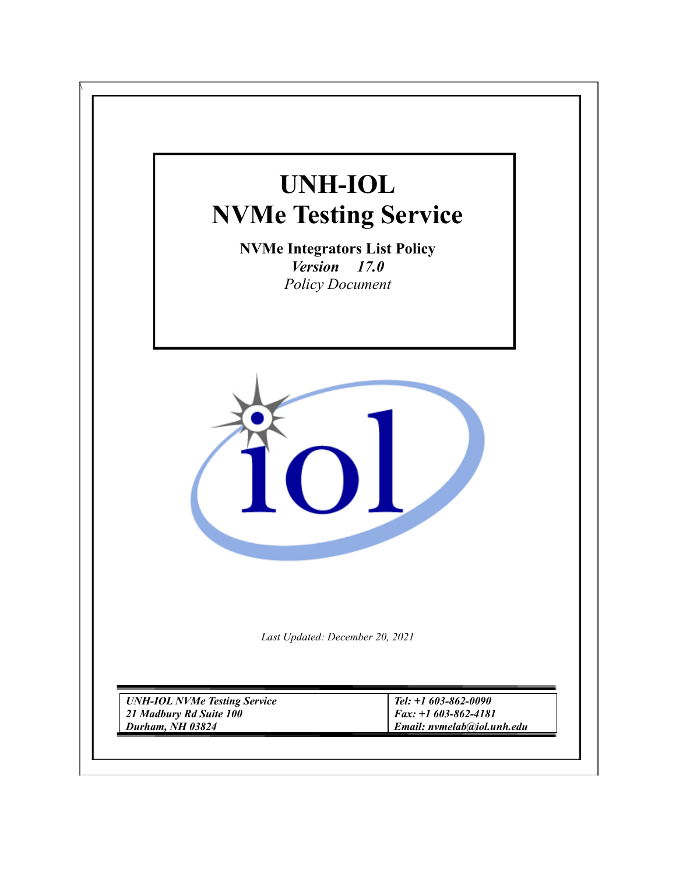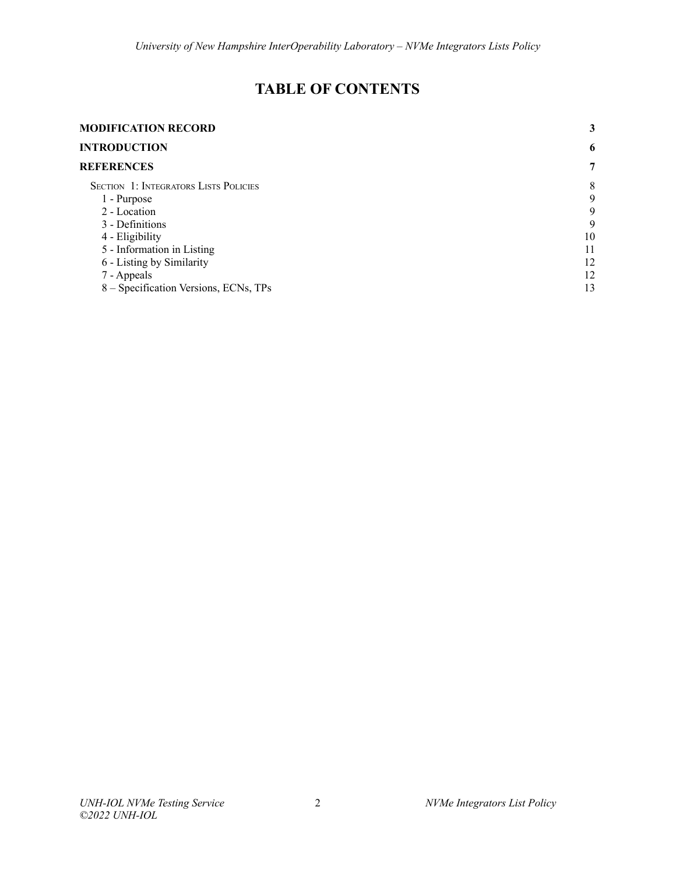# **TABLE OF CONTENTS**

| <b>MODIFICATION RECORD</b>                   | 3  |
|----------------------------------------------|----|
| <b>INTRODUCTION</b>                          | 6  |
| <b>REFERENCES</b>                            | 7  |
| <b>SECTION 1: INTEGRATORS LISTS POLICIES</b> | 8  |
| 1 - Purpose                                  | 9  |
| 2 - Location                                 | 9  |
| 3 - Definitions                              | 9  |
| 4 - Eligibility                              | 10 |
| 5 - Information in Listing                   | 11 |
| 6 - Listing by Similarity                    | 12 |
| 7 - Appeals                                  | 12 |
| 8 – Specification Versions, ECNs, TPs        | 13 |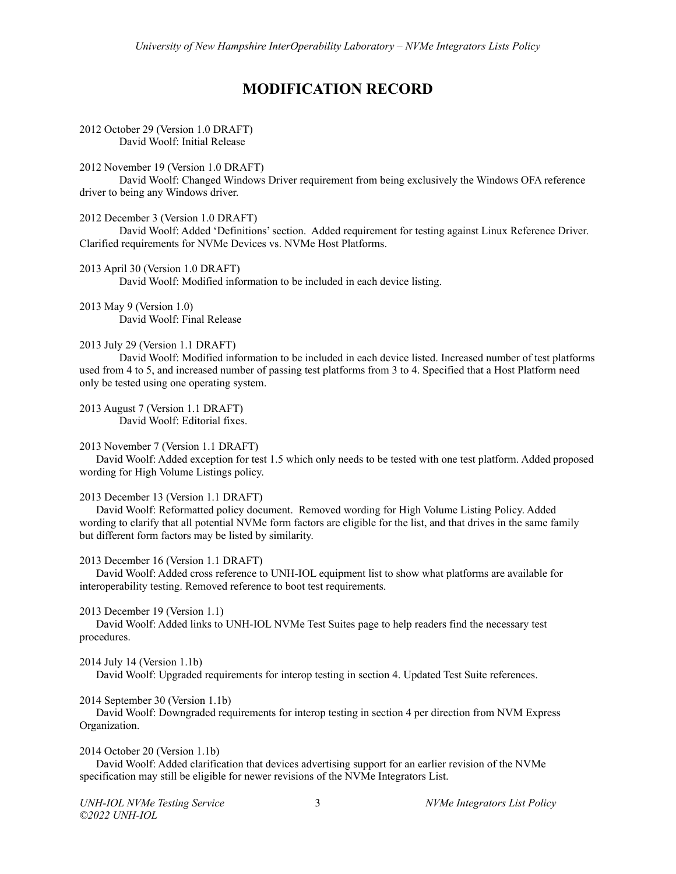# **MODIFICATION RECORD**

#### <span id="page-2-0"></span>2012 October 29 (Version 1.0 DRAFT) David Woolf: Initial Release

#### 2012 November 19 (Version 1.0 DRAFT)

David Woolf: Changed Windows Driver requirement from being exclusively the Windows OFA reference driver to being any Windows driver.

#### 2012 December 3 (Version 1.0 DRAFT)

David Woolf: Added 'Definitions'section. Added requirement for testing against Linux Reference Driver. Clarified requirements for NVMe Devices vs. NVMe Host Platforms.

#### 2013 April 30 (Version 1.0 DRAFT) David Woolf: Modified information to be included in each device listing.

2013 May 9 (Version 1.0) David Woolf: Final Release

## 2013 July 29 (Version 1.1 DRAFT)

David Woolf: Modified information to be included in each device listed. Increased number of test platforms used from 4 to 5, and increased number of passing test platforms from 3 to 4. Specified that a Host Platform need only be tested using one operating system.

2013 August 7 (Version 1.1 DRAFT) David Woolf: Editorial fixes.

#### 2013 November 7 (Version 1.1 DRAFT)

David Woolf: Added exception for test 1.5 which only needs to be tested with one test platform. Added proposed wording for High Volume Listings policy.

#### 2013 December 13 (Version 1.1 DRAFT)

David Woolf: Reformatted policy document. Removed wording for High Volume Listing Policy. Added wording to clarify that all potential NVMe form factors are eligible for the list, and that drives in the same family but different form factors may be listed by similarity.

#### 2013 December 16 (Version 1.1 DRAFT)

David Woolf: Added cross reference to UNH-IOL equipment list to show what platforms are available for interoperability testing. Removed reference to boot test requirements.

#### 2013 December 19 (Version 1.1)

David Woolf: Added links to UNH-IOL NVMe Test Suites page to help readers find the necessary test procedures.

#### 2014 July 14 (Version 1.1b)

David Woolf: Upgraded requirements for interop testing in section 4. Updated Test Suite references.

#### 2014 September 30 (Version 1.1b)

David Woolf: Downgraded requirements for interop testing in section 4 per direction from NVM Express Organization.

#### 2014 October 20 (Version 1.1b)

David Woolf: Added clarification that devices advertising support for an earlier revision of the NVMe specification may still be eligible for newer revisions of the NVMe Integrators List.

*©2022 UNH-IOL*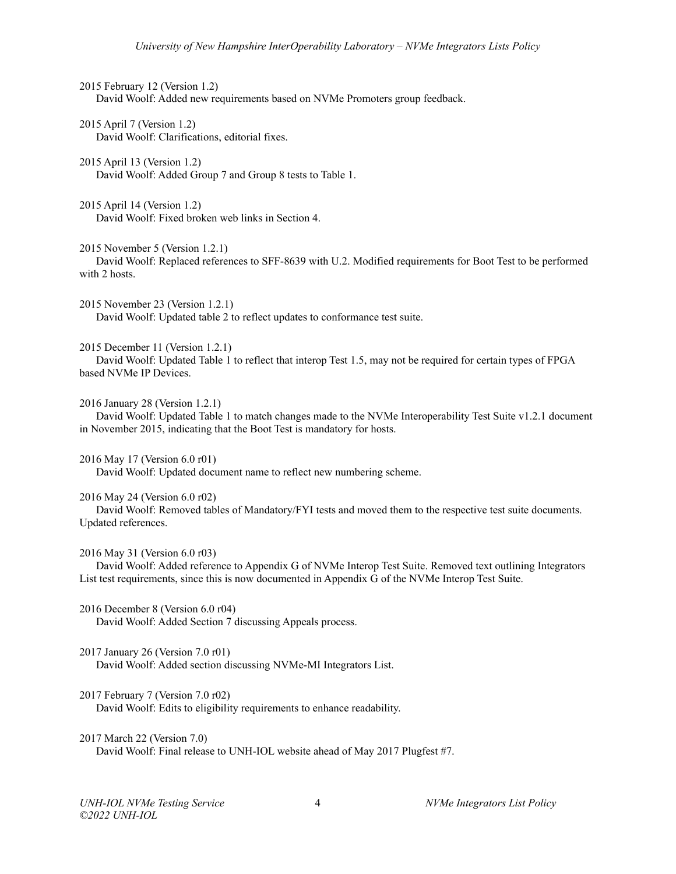2015 February 12 (Version 1.2) David Woolf: Added new requirements based on NVMe Promoters group feedback.

2015 April 7 (Version 1.2) David Woolf: Clarifications, editorial fixes.

2015 April 13 (Version 1.2) David Woolf: Added Group 7 and Group 8 tests to Table 1.

2015 April 14 (Version 1.2) David Woolf: Fixed broken web links in Section 4.

2015 November 5 (Version 1.2.1)

David Woolf: Replaced references to SFF-8639 with U.2. Modified requirements for Boot Test to be performed with 2 hosts.

2015 November 23 (Version 1.2.1) David Woolf: Updated table 2 to reflect updates to conformance test suite.

2015 December 11 (Version 1.2.1)

David Woolf: Updated Table 1 to reflect that interop Test 1.5, may not be required for certain types of FPGA based NVMe IP Devices.

2016 January 28 (Version 1.2.1)

David Woolf: Updated Table 1 to match changes made to the NVMe Interoperability Test Suite v1.2.1 document in November 2015, indicating that the Boot Test is mandatory for hosts.

2016 May 17 (Version 6.0 r01)

David Woolf: Updated document name to reflect new numbering scheme.

#### 2016 May 24 (Version 6.0 r02)

David Woolf: Removed tables of Mandatory/FYI tests and moved them to the respective test suite documents. Updated references.

#### 2016 May 31 (Version 6.0 r03)

David Woolf: Added reference to Appendix G of NVMe Interop Test Suite. Removed text outlining Integrators List test requirements, since this is now documented in Appendix G of the NVMe Interop Test Suite.

2016 December 8 (Version 6.0 r04) David Woolf: Added Section 7 discussing Appeals process.

2017 January 26 (Version 7.0 r01) David Woolf: Added section discussing NVMe-MI Integrators List.

## 2017 February 7 (Version 7.0 r02)

David Woolf: Edits to eligibility requirements to enhance readability.

2017 March 22 (Version 7.0)

David Woolf: Final release to UNH-IOL website ahead of May 2017 Plugfest #7.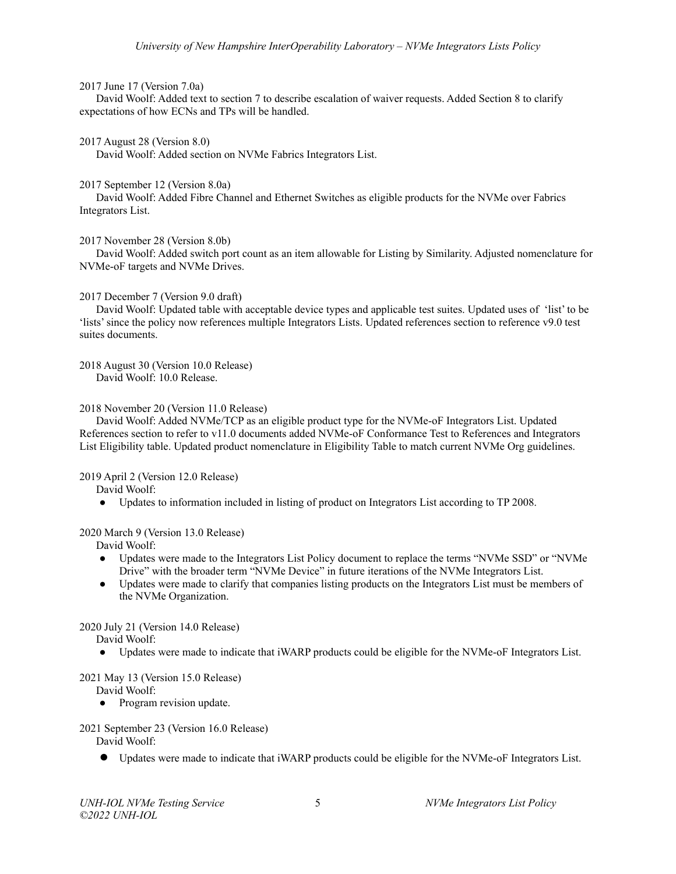#### 2017 June 17 (Version 7.0a)

David Woolf: Added text to section 7 to describe escalation of waiver requests. Added Section 8 to clarify expectations of how ECNs and TPs will be handled.

#### 2017 August 28 (Version 8.0)

David Woolf: Added section on NVMe Fabrics Integrators List.

#### 2017 September 12 (Version 8.0a)

David Woolf: Added Fibre Channel and Ethernet Switches as eligible products for the NVMe over Fabrics Integrators List.

#### 2017 November 28 (Version 8.0b)

David Woolf: Added switch port count as an item allowable for Listing by Similarity. Adjusted nomenclature for NVMe-oF targets and NVMe Drives.

#### 2017 December 7 (Version 9.0 draft)

David Woolf: Updated table with acceptable device types and applicable test suites. Updated uses of 'list' to be 'lists'since the policy now references multiple Integrators Lists. Updated references section to reference v9.0 test suites documents.

2018 August 30 (Version 10.0 Release) David Woolf: 10.0 Release.

#### 2018 November 20 (Version 11.0 Release)

David Woolf: Added NVMe/TCP as an eligible product type for the NVMe-oF Integrators List. Updated References section to refer to v11.0 documents added NVMe-oF Conformance Test to References and Integrators List Eligibility table. Updated product nomenclature in Eligibility Table to match current NVMe Org guidelines.

2019 April 2 (Version 12.0 Release)

David Woolf:

• Updates to information included in listing of product on Integrators List according to TP 2008.

#### 2020 March 9 (Version 13.0 Release)

David Woolf:

- Updates were made to the Integrators List Policy document to replace the terms "NVMe SSD" or "NVMe Drive" with the broader term "NVMe Device" in future iterations of the NVMe Integrators List.
- Updates were made to clarify that companies listing products on the Integrators List must be members of the NVMe Organization.

## 2020 July 21 (Version 14.0 Release)

David Woolf:

● Updates were made to indicate that iWARP products could be eligible for the NVMe-oF Integrators List.

#### 2021 May 13 (Version 15.0 Release)

David Woolf:

**●** Program revision update.

## 2021 September 23 (Version 16.0 Release)

David Woolf:

**●** Updates were made to indicate that iWARP products could be eligible for the NVMe-oF Integrators List.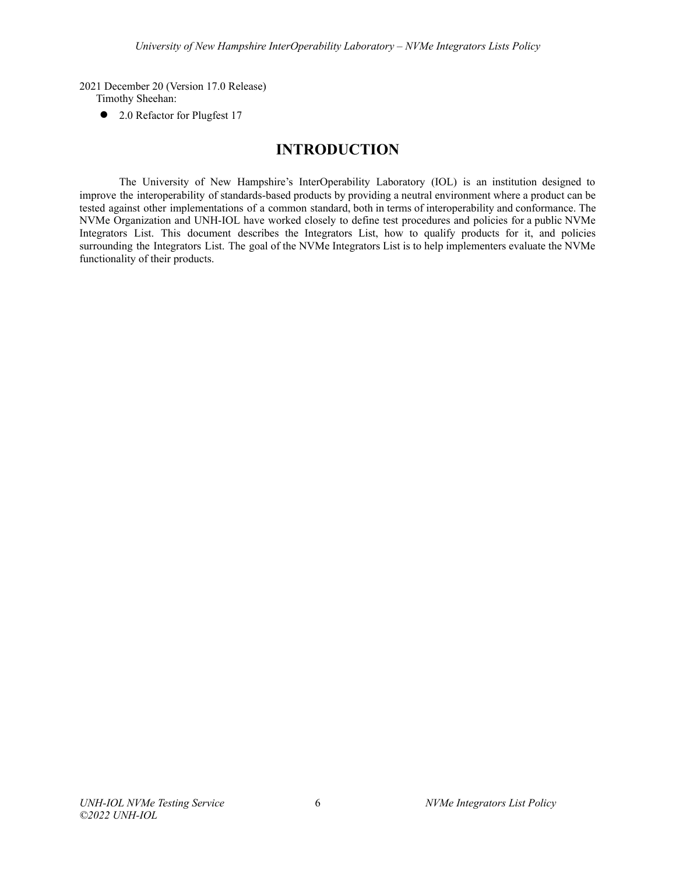2021 December 20 (Version 17.0 Release)

Timothy Sheehan:

**●** 2.0 Refactor for Plugfest 17

# **INTRODUCTION**

<span id="page-5-0"></span>The University of New Hampshire's InterOperability Laboratory (IOL) is an institution designed to improve the interoperability of standards-based products by providing a neutral environment where a product can be tested against other implementations of a common standard, both in terms of interoperability and conformance. The NVMe Organization and UNH-IOL have worked closely to define test procedures and policies for a public NVMe Integrators List. This document describes the Integrators List, how to qualify products for it, and policies surrounding the Integrators List. The goal of the NVMe Integrators List is to help implementers evaluate the NVMe functionality of their products.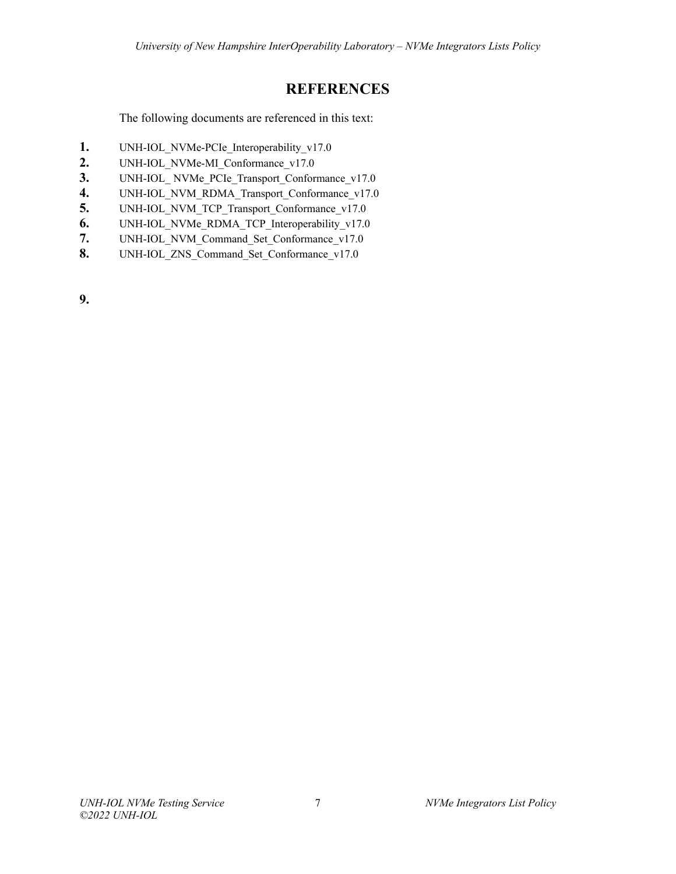# **REFERENCES**

<span id="page-6-0"></span>The following documents are referenced in this text:

- 1. UNH-IOL\_NVMe-PCIe\_Interoperability\_v17.0
- **2.** UNH-IOL\_NVMe-MI\_Conformance\_v17.0
- **3.** UNH-IOL NVMe PCIe Transport Conformance v17.0
- **4.** UNH-IOL\_NVM\_RDMA\_Transport\_Conformance\_v17.0
- 5. UNH-IOL\_NVM\_TCP\_Transport\_Conformance\_v17.0
- **6.** UNH-IOL\_NVMe\_RDMA\_TCP\_Interoperability\_v17.0<br>7. UNH-IOL\_NVM\_Command\_Set\_Conformance\_v17.0
- **7.** UNH-IOL\_NVM\_Command\_Set\_Conformance\_v17.0
- **8.** UNH-IOL\_ZNS\_Command\_Set\_Conformance\_v17.0

**9.**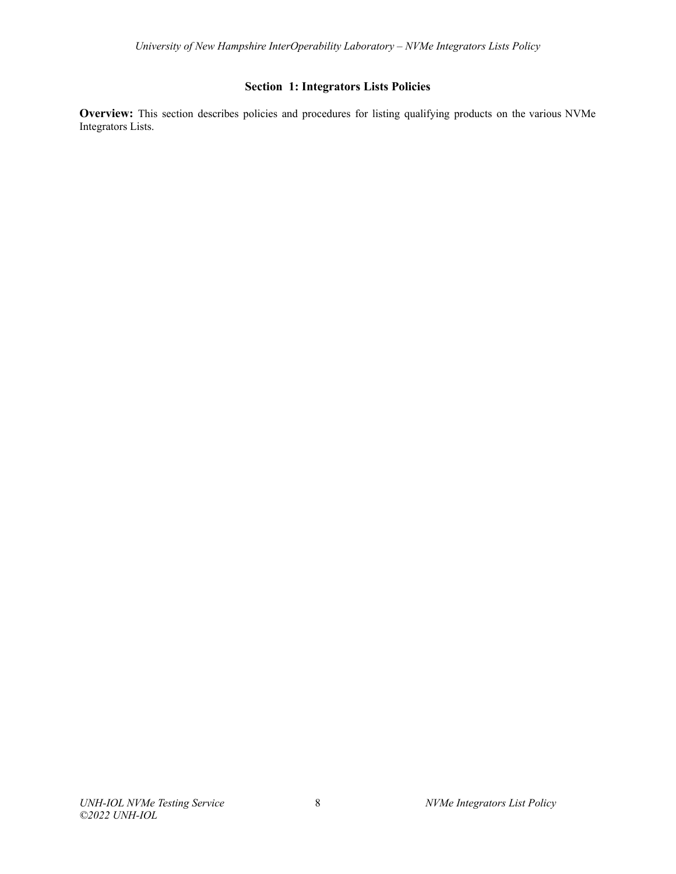# **Section 1: Integrators Lists Policies**

<span id="page-7-0"></span>**Overview:** This section describes policies and procedures for listing qualifying products on the various NVMe Integrators Lists.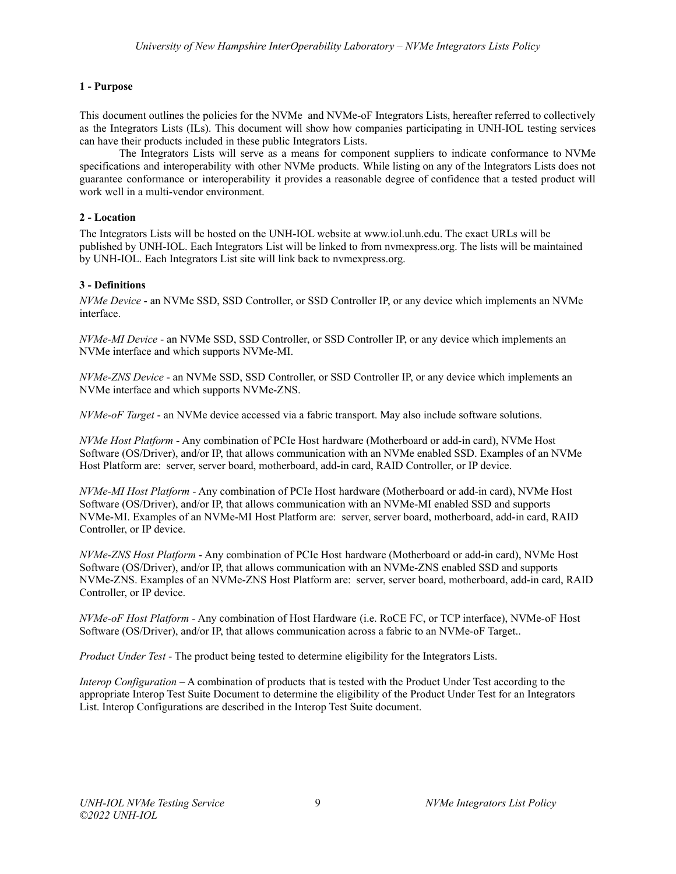## <span id="page-8-0"></span>**1 - Purpose**

This document outlines the policies for the NVMe and NVMe-oF Integrators Lists, hereafter referred to collectively as the Integrators Lists (ILs). This document will show how companies participating in UNH-IOL testing services can have their products included in these public Integrators Lists.

The Integrators Lists will serve as a means for component suppliers to indicate conformance to NVMe specifications and interoperability with other NVMe products. While listing on any of the Integrators Lists does not guarantee conformance or interoperability it provides a reasonable degree of confidence that a tested product will work well in a multi-vendor environment.

## <span id="page-8-1"></span>**2 - Location**

The Integrators Lists will be hosted on the UNH-IOL website at www.iol.unh.edu. The exact URLs will be published by UNH-IOL. Each Integrators List will be linked to from nvmexpress.org. The lists will be maintained by UNH-IOL. Each Integrators List site will link back to nvmexpress.org.

## <span id="page-8-2"></span>**3 - Definitions**

*NVMe Device* - an NVMe SSD, SSD Controller, or SSD Controller IP, or any device which implements an NVMe interface.

*NVMe-MI Device* - an NVMe SSD, SSD Controller, or SSD Controller IP, or any device which implements an NVMe interface and which supports NVMe-MI.

*NVMe-ZNS Device* - an NVMe SSD, SSD Controller, or SSD Controller IP, or any device which implements an NVMe interface and which supports NVMe-ZNS.

*NVMe-oF Target* - an NVMe device accessed via a fabric transport. May also include software solutions.

*NVMe Host Platform* - Any combination of PCIe Host hardware (Motherboard or add-in card), NVMe Host Software (OS/Driver), and/or IP, that allows communication with an NVMe enabled SSD. Examples of an NVMe Host Platform are: server, server board, motherboard, add-in card, RAID Controller, or IP device.

*NVMe-MI Host Platform* - Any combination of PCIe Host hardware (Motherboard or add-in card), NVMe Host Software (OS/Driver), and/or IP, that allows communication with an NVMe-MI enabled SSD and supports NVMe-MI. Examples of an NVMe-MI Host Platform are: server, server board, motherboard, add-in card, RAID Controller, or IP device.

*NVMe-ZNS Host Platform* - Any combination of PCIe Host hardware (Motherboard or add-in card), NVMe Host Software (OS/Driver), and/or IP, that allows communication with an NVMe-ZNS enabled SSD and supports NVMe-ZNS. Examples of an NVMe-ZNS Host Platform are: server, server board, motherboard, add-in card, RAID Controller, or IP device.

*NVMe-oF Host Platform* - Any combination of Host Hardware (i.e. RoCE FC, or TCP interface), NVMe-oF Host Software (OS/Driver), and/or IP, that allows communication across a fabric to an NVMe-oF Target..

*Product Under Test* - The product being tested to determine eligibility for the Integrators Lists.

*Interop Configuration* – A combination of products that is tested with the Product Under Test according to the appropriate Interop Test Suite Document to determine the eligibility of the Product Under Test for an Integrators List. Interop Configurations are described in the Interop Test Suite document.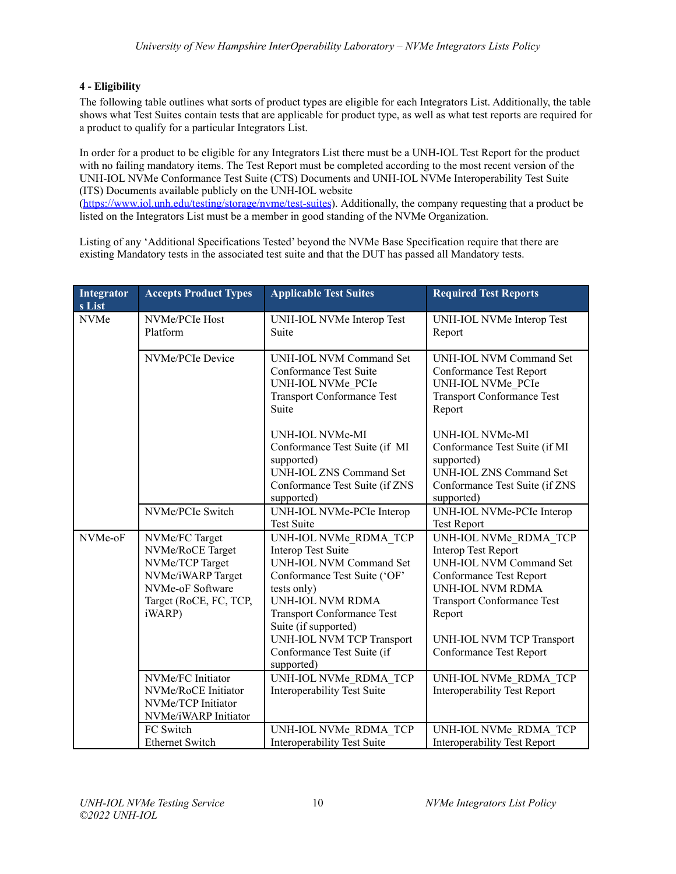# <span id="page-9-0"></span>**4 - Eligibility**

The following table outlines what sorts of product types are eligible for each Integrators List. Additionally, the table shows what Test Suites contain tests that are applicable for product type, as well as what test reports are required for a product to qualify for a particular Integrators List.

In order for a product to be eligible for any Integrators List there must be a UNH-IOL Test Report for the product with no failing mandatory items. The Test Report must be completed according to the most recent version of the UNH-IOL NVMe Conformance Test Suite (CTS) Documents and UNH-IOL NVMe Interoperability Test Suite (ITS) Documents available publicly on the UNH-IOL website [\(https://www.iol.unh.edu/testing/storage/nvme/test-suites](https://www.iol.unh.edu/testing/storage/nvme/test-suites)). Additionally, the company requesting that a product be listed on the Integrators List must be a member in good standing of the NVMe Organization.

Listing of any 'Additional Specifications Tested' beyond the NVMe Base Specification require that there are existing Mandatory tests in the associated test suite and that the DUT has passed all Mandatory tests.

| Integrator<br>s List | <b>Accepts Product Types</b>                                                                                                       | <b>Applicable Test Suites</b>                                                                                                                                                                                                                                                                               | <b>Required Test Reports</b>                                                                                                                                                                                                                       |
|----------------------|------------------------------------------------------------------------------------------------------------------------------------|-------------------------------------------------------------------------------------------------------------------------------------------------------------------------------------------------------------------------------------------------------------------------------------------------------------|----------------------------------------------------------------------------------------------------------------------------------------------------------------------------------------------------------------------------------------------------|
| <b>NVMe</b>          | NVMe/PCIe Host<br>Platform                                                                                                         | UNH-IOL NVMe Interop Test<br>Suite                                                                                                                                                                                                                                                                          | UNH-IOL NVMe Interop Test<br>Report                                                                                                                                                                                                                |
|                      | NVMe/PCIe Device                                                                                                                   | UNH-IOL NVM Command Set<br>Conformance Test Suite<br>UNH-IOL NVMe PCIe<br><b>Transport Conformance Test</b><br>Suite                                                                                                                                                                                        | <b>UNH-IOL NVM Command Set</b><br>Conformance Test Report<br>UNH-IOL NVMe PCIe<br><b>Transport Conformance Test</b><br>Report                                                                                                                      |
|                      |                                                                                                                                    | UNH-IOL NVMe-MI<br>Conformance Test Suite (if MI<br>supported)<br><b>UNH-IOL ZNS Command Set</b><br>Conformance Test Suite (if ZNS<br>supported)                                                                                                                                                            | UNH-IOL NVMe-MI<br>Conformance Test Suite (if MI<br>supported)<br><b>UNH-IOL ZNS Command Set</b><br>Conformance Test Suite (if ZNS<br>supported)                                                                                                   |
|                      | NVMe/PCIe Switch                                                                                                                   | UNH-IOL NVMe-PCIe Interop<br><b>Test Suite</b>                                                                                                                                                                                                                                                              | UNH-IOL NVMe-PCIe Interop<br><b>Test Report</b>                                                                                                                                                                                                    |
| NVMe-oF              | NVMe/FC Target<br>NVMe/RoCE Target<br>NVMe/TCP Target<br>NVMe/iWARP Target<br>NVMe-oF Software<br>Target (RoCE, FC, TCP,<br>iWARP) | UNH-IOL NVMe RDMA TCP<br><b>Interop Test Suite</b><br><b>UNH-IOL NVM Command Set</b><br>Conformance Test Suite ('OF'<br>tests only)<br><b>UNH-IOL NVM RDMA</b><br><b>Transport Conformance Test</b><br>Suite (if supported)<br><b>UNH-IOL NVM TCP Transport</b><br>Conformance Test Suite (if<br>supported) | UNH-IOL NVMe RDMA TCP<br><b>Interop Test Report</b><br><b>UNH-IOL NVM Command Set</b><br>Conformance Test Report<br><b>UNH-IOL NVM RDMA</b><br><b>Transport Conformance Test</b><br>Report<br>UNH-IOL NVM TCP Transport<br>Conformance Test Report |
|                      | NVMe/FC Initiator<br>NVMe/RoCE Initiator<br>NVMe/TCP Initiator<br>NVMe/iWARP Initiator                                             | UNH-IOL NVMe RDMA TCP<br>Interoperability Test Suite                                                                                                                                                                                                                                                        | UNH-IOL NVMe RDMA TCP<br><b>Interoperability Test Report</b>                                                                                                                                                                                       |
|                      | FC Switch<br><b>Ethernet Switch</b>                                                                                                | UNH-IOL NVMe RDMA TCP<br><b>Interoperability Test Suite</b>                                                                                                                                                                                                                                                 | UNH-IOL NVMe RDMA TCP<br><b>Interoperability Test Report</b>                                                                                                                                                                                       |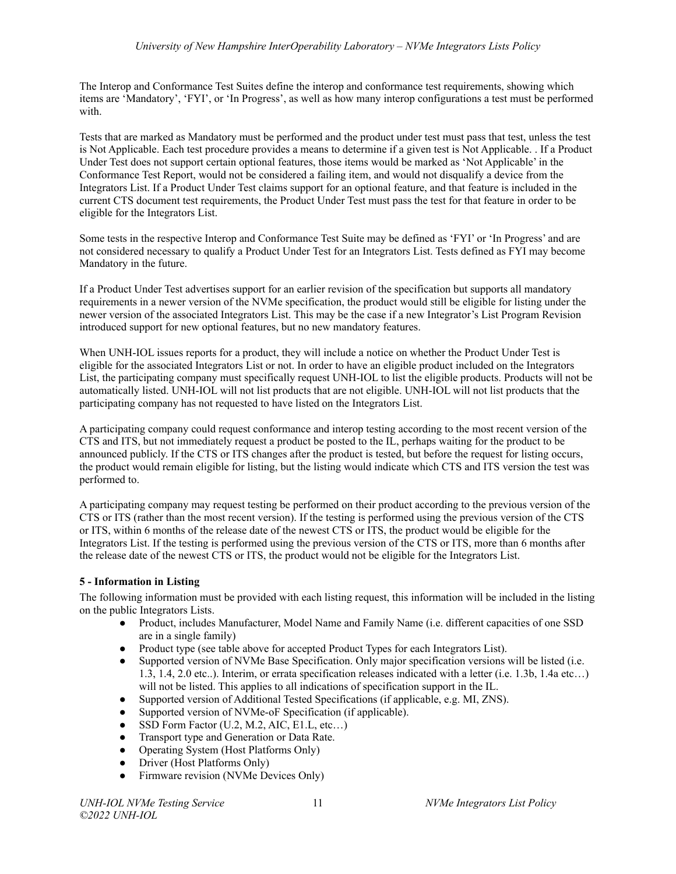The Interop and Conformance Test Suites define the interop and conformance test requirements, showing which items are 'Mandatory', 'FYI', or 'In Progress', as well as how many interop configurations a test must be performed with.

Tests that are marked as Mandatory must be performed and the product under test must pass that test, unless the test is Not Applicable. Each test procedure provides a means to determine if a given test is Not Applicable. . If a Product Under Test does not support certain optional features, those items would be marked as 'Not Applicable' in the Conformance Test Report, would not be considered a failing item, and would not disqualify a device from the Integrators List. If a Product Under Test claims support for an optional feature, and that feature is included in the current CTS document test requirements, the Product Under Test must pass the test for that feature in order to be eligible for the Integrators List.

Some tests in the respective Interop and Conformance Test Suite may be defined as 'FYI' or 'In Progress' and are not considered necessary to qualify a Product Under Test for an Integrators List. Tests defined as FYI may become Mandatory in the future.

If a Product Under Test advertises support for an earlier revision of the specification but supports all mandatory requirements in a newer version of the NVMe specification, the product would still be eligible for listing under the newer version of the associated Integrators List. This may be the case if a new Integrator's List Program Revision introduced support for new optional features, but no new mandatory features.

When UNH-IOL issues reports for a product, they will include a notice on whether the Product Under Test is eligible for the associated Integrators List or not. In order to have an eligible product included on the Integrators List, the participating company must specifically request UNH-IOL to list the eligible products. Products will not be automatically listed. UNH-IOL will not list products that are not eligible. UNH-IOL will not list products that the participating company has not requested to have listed on the Integrators List.

A participating company could request conformance and interop testing according to the most recent version of the CTS and ITS, but not immediately request a product be posted to the IL, perhaps waiting for the product to be announced publicly. If the CTS or ITS changes after the product is tested, but before the request for listing occurs, the product would remain eligible for listing, but the listing would indicate which CTS and ITS version the test was performed to.

A participating company may request testing be performed on their product according to the previous version of the CTS or ITS (rather than the most recent version). If the testing is performed using the previous version of the CTS or ITS, within 6 months of the release date of the newest CTS or ITS, the product would be eligible for the Integrators List. If the testing is performed using the previous version of the CTS or ITS, more than 6 months after the release date of the newest CTS or ITS, the product would not be eligible for the Integrators List.

# <span id="page-10-0"></span>**5 - Information in Listing**

The following information must be provided with each listing request, this information will be included in the listing on the public Integrators Lists.

- Product, includes Manufacturer, Model Name and Family Name (i.e. different capacities of one SSD are in a single family)
- Product type (see table above for accepted Product Types for each Integrators List).
- Supported version of NVMe Base Specification. Only major specification versions will be listed (i.e. 1.3, 1.4, 2.0 etc..). Interim, or errata specification releases indicated with a letter (i.e. 1.3b, 1.4a etc…) will not be listed. This applies to all indications of specification support in the IL.
- Supported version of Additional Tested Specifications (if applicable, e.g. MI, ZNS).
- Supported version of NVMe-oF Specification (if applicable).
- $\bullet$  SSD Form Factor (U.2, M.2, AIC, E1.L, etc...)
- Transport type and Generation or Data Rate.
- Operating System (Host Platforms Only)
- Driver (Host Platforms Only)
- Firmware revision (NVMe Devices Only)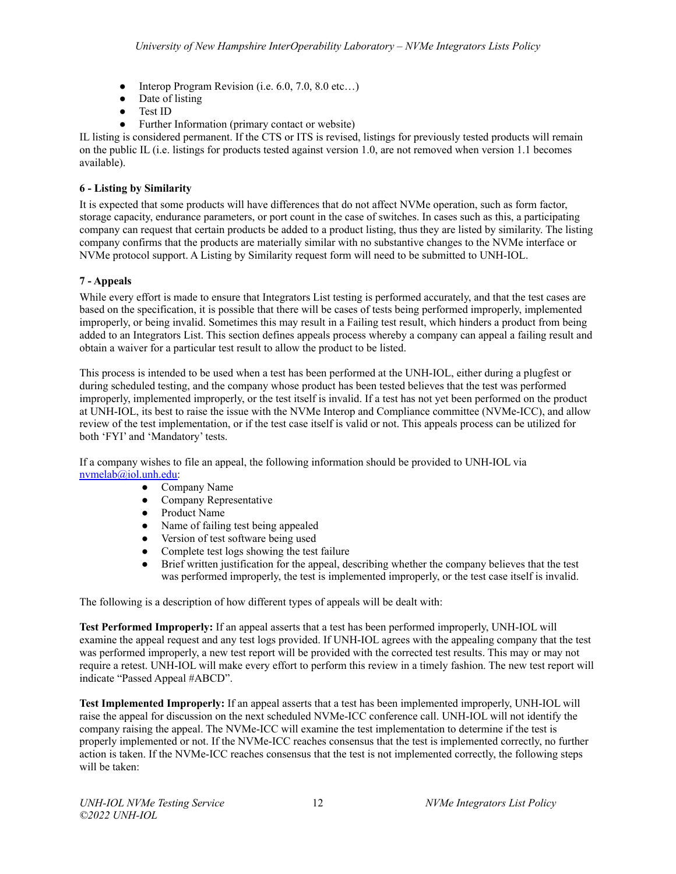- Interop Program Revision (i.e.  $6.0, 7.0, 8.0$  etc...)
- Date of listing
- Test ID
- Further Information (primary contact or website)

IL listing is considered permanent. If the CTS or ITS is revised, listings for previously tested products will remain on the public IL (i.e. listings for products tested against version 1.0, are not removed when version 1.1 becomes available).

# <span id="page-11-0"></span>**6 - Listing by Similarity**

It is expected that some products will have differences that do not affect NVMe operation, such as form factor, storage capacity, endurance parameters, or port count in the case of switches. In cases such as this, a participating company can request that certain products be added to a product listing, thus they are listed by similarity. The listing company confirms that the products are materially similar with no substantive changes to the NVMe interface or NVMe protocol support. A Listing by Similarity request form will need to be submitted to UNH-IOL.

# <span id="page-11-1"></span>**7 - Appeals**

While every effort is made to ensure that Integrators List testing is performed accurately, and that the test cases are based on the specification, it is possible that there will be cases of tests being performed improperly, implemented improperly, or being invalid. Sometimes this may result in a Failing test result, which hinders a product from being added to an Integrators List. This section defines appeals process whereby a company can appeal a failing result and obtain a waiver for a particular test result to allow the product to be listed.

This process is intended to be used when a test has been performed at the UNH-IOL, either during a plugfest or during scheduled testing, and the company whose product has been tested believes that the test was performed improperly, implemented improperly, or the test itself is invalid. If a test has not yet been performed on the product at UNH-IOL, its best to raise the issue with the NVMe Interop and Compliance committee (NVMe-ICC), and allow review of the test implementation, or if the test case itself is valid or not. This appeals process can be utilized for both 'FYI' and 'Mandatory' tests.

If a company wishes to file an appeal, the following information should be provided to UNH-IOL via [nvmelab@iol.unh.edu:](mailto:nvmelab@iol.unh.edu)

- Company Name
- Company Representative
- Product Name
- Name of failing test being appealed
- Version of test software being used
- Complete test logs showing the test failure
- Brief written justification for the appeal, describing whether the company believes that the test was performed improperly, the test is implemented improperly, or the test case itself is invalid.

The following is a description of how different types of appeals will be dealt with:

**Test Performed Improperly:** If an appeal asserts that a test has been performed improperly, UNH-IOL will examine the appeal request and any test logs provided. If UNH-IOL agrees with the appealing company that the test was performed improperly, a new test report will be provided with the corrected test results. This may or may not require a retest. UNH-IOL will make every effort to perform this review in a timely fashion. The new test report will indicate "Passed Appeal #ABCD".

**Test Implemented Improperly:** If an appeal asserts that a test has been implemented improperly, UNH-IOL will raise the appeal for discussion on the next scheduled NVMe-ICC conference call. UNH-IOL will not identify the company raising the appeal. The NVMe-ICC will examine the test implementation to determine if the test is properly implemented or not. If the NVMe-ICC reaches consensus that the test is implemented correctly, no further action is taken. If the NVMe-ICC reaches consensus that the test is not implemented correctly, the following steps will be taken: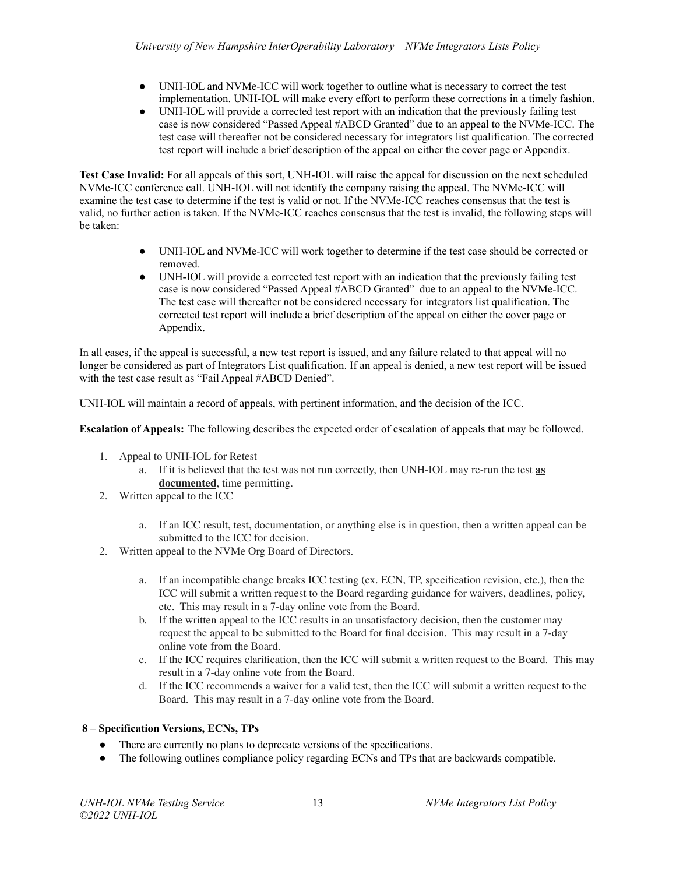- UNH-IOL and NVMe-ICC will work together to outline what is necessary to correct the test implementation. UNH-IOL will make every effort to perform these corrections in a timely fashion.
- UNH-IOL will provide a corrected test report with an indication that the previously failing test case is now considered "Passed Appeal #ABCD Granted" due to an appeal to the NVMe-ICC. The test case will thereafter not be considered necessary for integrators list qualification. The corrected test report will include a brief description of the appeal on either the cover page or Appendix.

**Test Case Invalid:** For all appeals of this sort, UNH-IOL will raise the appeal for discussion on the next scheduled NVMe-ICC conference call. UNH-IOL will not identify the company raising the appeal. The NVMe-ICC will examine the test case to determine if the test is valid or not. If the NVMe-ICC reaches consensus that the test is valid, no further action is taken. If the NVMe-ICC reaches consensus that the test is invalid, the following steps will be taken:

- UNH-IOL and NVMe-ICC will work together to determine if the test case should be corrected or removed.
- UNH-IOL will provide a corrected test report with an indication that the previously failing test case is now considered "Passed Appeal #ABCD Granted" due to an appeal to the NVMe-ICC. The test case will thereafter not be considered necessary for integrators list qualification. The corrected test report will include a brief description of the appeal on either the cover page or Appendix.

In all cases, if the appeal is successful, a new test report is issued, and any failure related to that appeal will no longer be considered as part of Integrators List qualification. If an appeal is denied, a new test report will be issued with the test case result as "Fail Appeal #ABCD Denied".

UNH-IOL will maintain a record of appeals, with pertinent information, and the decision of the ICC.

**Escalation of Appeals:** The following describes the expected order of escalation of appeals that may be followed.

- 1. Appeal to UNH-IOL for Retest
	- a. If it is believed that the test was not run correctly, then UNH-IOL may re-run the test **as documented**, time permitting.
- 2. Written appeal to the ICC
	- a. If an ICC result, test, documentation, or anything else is in question, then a written appeal can be submitted to the ICC for decision.
- 2. Written appeal to the NVMe Org Board of Directors.
	- a. If an incompatible change breaks ICC testing (ex. ECN, TP, specification revision, etc.), then the ICC will submit a written request to the Board regarding guidance for waivers, deadlines, policy, etc. This may result in a 7-day online vote from the Board.
	- b. If the written appeal to the ICC results in an unsatisfactory decision, then the customer may request the appeal to be submitted to the Board for final decision. This may result in a 7-day online vote from the Board.
	- c. If the ICC requires clarification, then the ICC will submit a written request to the Board. This may result in a 7-day online vote from the Board.
	- d. If the ICC recommends a waiver for a valid test, then the ICC will submit a written request to the Board. This may result in a 7-day online vote from the Board.

# <span id="page-12-0"></span>**8 – Specification Versions, ECNs, TPs**

- There are currently no plans to deprecate versions of the specifications.
- The following outlines compliance policy regarding ECNs and TPs that are backwards compatible.